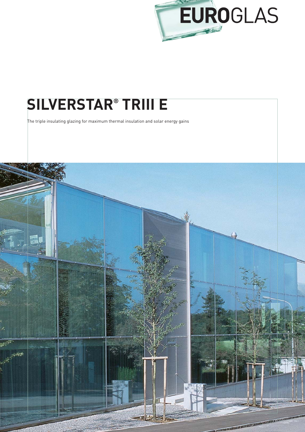

## **SILVERSTAR® TRIII E**

The triple insulating glazing for maximum thermal insulation and solar energy gains